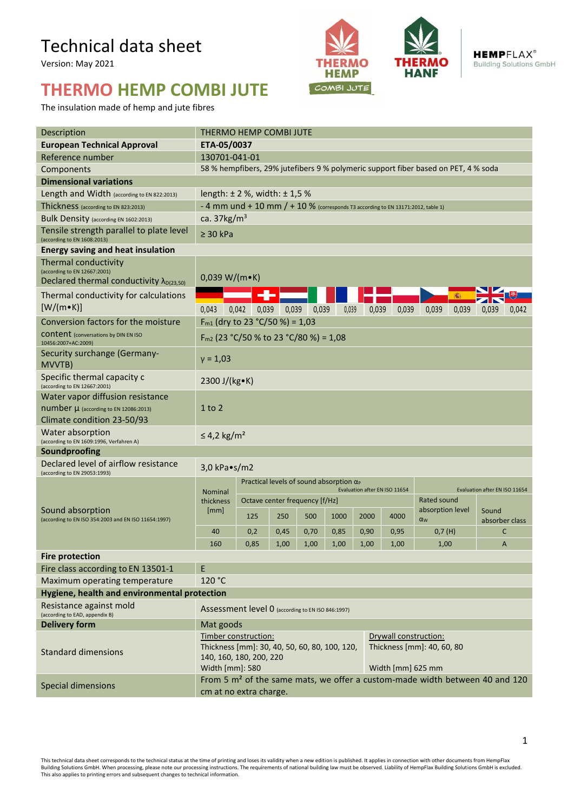## Technical data sheet

Version: May 2021

## **THERMO HEMP COMBI JUTE**

The insulation made of hemp and jute fibres





**HEMPFLAX® Building Solutions GmbH** 

| Description                                                                                                | THERMO HEMP COMBI JUTE                                                                                                                                                                          |                                                                                                                   |       |                                |       |       |       |       |                  |       |                |       |  |
|------------------------------------------------------------------------------------------------------------|-------------------------------------------------------------------------------------------------------------------------------------------------------------------------------------------------|-------------------------------------------------------------------------------------------------------------------|-------|--------------------------------|-------|-------|-------|-------|------------------|-------|----------------|-------|--|
| <b>European Technical Approval</b>                                                                         | ETA-05/0037                                                                                                                                                                                     |                                                                                                                   |       |                                |       |       |       |       |                  |       |                |       |  |
| Reference number                                                                                           | 130701-041-01                                                                                                                                                                                   |                                                                                                                   |       |                                |       |       |       |       |                  |       |                |       |  |
| Components                                                                                                 | 58 % hempfibers, 29% jutefibers 9 % polymeric support fiber based on PET, 4 % soda                                                                                                              |                                                                                                                   |       |                                |       |       |       |       |                  |       |                |       |  |
| <b>Dimensional variations</b>                                                                              |                                                                                                                                                                                                 |                                                                                                                   |       |                                |       |       |       |       |                  |       |                |       |  |
| Length and Width (according to EN 822:2013)                                                                | length: $\pm 2$ %, width: $\pm 1.5$ %                                                                                                                                                           |                                                                                                                   |       |                                |       |       |       |       |                  |       |                |       |  |
| Thickness (according to EN 823:2013)                                                                       | - 4 mm und + 10 mm $/$ + 10 % (corresponds T3 according to EN 13171:2012, table 1)                                                                                                              |                                                                                                                   |       |                                |       |       |       |       |                  |       |                |       |  |
| Bulk Density (according EN 1602:2013)                                                                      | ca. $37\text{kg/m}^3$                                                                                                                                                                           |                                                                                                                   |       |                                |       |       |       |       |                  |       |                |       |  |
| Tensile strength parallel to plate level<br>(according to EN 1608:2013)                                    | $\geq$ 30 kPa                                                                                                                                                                                   |                                                                                                                   |       |                                |       |       |       |       |                  |       |                |       |  |
| <b>Energy saving and heat insulation</b>                                                                   |                                                                                                                                                                                                 |                                                                                                                   |       |                                |       |       |       |       |                  |       |                |       |  |
| Thermal conductivity<br>(according to EN 12667:2001)<br>Declared thermal conductivity $\lambda_{D(23,50)}$ | $0,039 W/(m \cdot K)$                                                                                                                                                                           |                                                                                                                   |       |                                |       |       |       |       |                  |       |                |       |  |
| Thermal conductivity for calculations                                                                      | 殲                                                                                                                                                                                               |                                                                                                                   |       |                                |       |       |       |       |                  |       |                |       |  |
| $[W/(m \cdot K)]$                                                                                          | 0.043                                                                                                                                                                                           | 0,042                                                                                                             | 0,039 | 0,039                          | 0,039 | 0.039 | 0.039 | 0,039 | 0,039            | 0,039 | 0.039          | 0,042 |  |
| Conversion factors for the moisture                                                                        | $F_{m1}$ (dry to 23 °C/50 %) = 1,03                                                                                                                                                             |                                                                                                                   |       |                                |       |       |       |       |                  |       |                |       |  |
| <b>CONTENT</b> (conversations by DIN EN ISO<br>10456:2007+AC:2009)                                         | $F_{m2}$ (23 °C/50 % to 23 °C/80 %) = 1,08                                                                                                                                                      |                                                                                                                   |       |                                |       |       |       |       |                  |       |                |       |  |
| Security surchange (Germany-<br>MVVTB)                                                                     | $y = 1,03$                                                                                                                                                                                      |                                                                                                                   |       |                                |       |       |       |       |                  |       |                |       |  |
| Specific thermal capacity c<br>(according to EN 12667:2001)                                                | 2300 J/(kg•K)                                                                                                                                                                                   |                                                                                                                   |       |                                |       |       |       |       |                  |       |                |       |  |
| Water vapor diffusion resistance                                                                           | $1$ to $2$                                                                                                                                                                                      |                                                                                                                   |       |                                |       |       |       |       |                  |       |                |       |  |
| $number \mu$ (according to EN 12086:2013)                                                                  |                                                                                                                                                                                                 |                                                                                                                   |       |                                |       |       |       |       |                  |       |                |       |  |
| Climate condition 23-50/93                                                                                 |                                                                                                                                                                                                 |                                                                                                                   |       |                                |       |       |       |       |                  |       |                |       |  |
| Water absorption<br>(according to EN 1609:1996, Verfahren A)                                               | $\leq$ 4,2 kg/m <sup>2</sup>                                                                                                                                                                    |                                                                                                                   |       |                                |       |       |       |       |                  |       |                |       |  |
| Soundproofing                                                                                              |                                                                                                                                                                                                 |                                                                                                                   |       |                                |       |       |       |       |                  |       |                |       |  |
| Declared level of airflow resistance<br>(according to EN 29053:1993)                                       | $3,0$ kPa $\bullet$ s/m2                                                                                                                                                                        |                                                                                                                   |       |                                |       |       |       |       |                  |       |                |       |  |
| Sound absorption<br>(according to EN ISO 354:2003 and EN ISO 11654:1997)                                   | <b>Nominal</b><br>thickness<br>[mm]                                                                                                                                                             | Practical levels of sound absorption $\alpha_P$<br>Evaluation after EN ISO 11654<br>Evaluation after EN ISO 11654 |       |                                |       |       |       |       |                  |       |                |       |  |
|                                                                                                            |                                                                                                                                                                                                 |                                                                                                                   |       | Octave center frequency [f/Hz] |       |       |       |       | Rated sound      |       |                |       |  |
|                                                                                                            |                                                                                                                                                                                                 |                                                                                                                   |       |                                |       |       |       |       | absorption level |       | Sound          |       |  |
|                                                                                                            |                                                                                                                                                                                                 | 125                                                                                                               |       | 250                            | 500   | 1000  | 2000  | 4000  | $\alpha_{w}$     |       | absorber class |       |  |
|                                                                                                            | 40                                                                                                                                                                                              | 0,2                                                                                                               |       | 0,45                           | 0,70  | 0,85  | 0,90  | 0,95  | 0,7(H)           |       | C              |       |  |
|                                                                                                            | 160                                                                                                                                                                                             | 0,85                                                                                                              |       | 1,00                           | 1,00  | 1,00  | 1,00  | 1,00  | 1,00             |       | $\overline{A}$ |       |  |
| <b>Fire protection</b>                                                                                     |                                                                                                                                                                                                 |                                                                                                                   |       |                                |       |       |       |       |                  |       |                |       |  |
| Fire class according to EN 13501-1                                                                         | E                                                                                                                                                                                               |                                                                                                                   |       |                                |       |       |       |       |                  |       |                |       |  |
| Maximum operating temperature                                                                              | 120 °C                                                                                                                                                                                          |                                                                                                                   |       |                                |       |       |       |       |                  |       |                |       |  |
| Hygiene, health and environmental protection                                                               |                                                                                                                                                                                                 |                                                                                                                   |       |                                |       |       |       |       |                  |       |                |       |  |
| Resistance against mold<br>(according to EAD, appendix B)                                                  | Assessment level 0 (according to EN ISO 846:1997)                                                                                                                                               |                                                                                                                   |       |                                |       |       |       |       |                  |       |                |       |  |
| <b>Delivery form</b>                                                                                       | Mat goods                                                                                                                                                                                       |                                                                                                                   |       |                                |       |       |       |       |                  |       |                |       |  |
| <b>Standard dimensions</b>                                                                                 | Timber construction:<br>Drywall construction:<br>Thickness [mm]: 30, 40, 50, 60, 80, 100, 120,<br>Thickness [mm]: 40, 60, 80<br>140, 160, 180, 200, 220<br>Width [mm]: 580<br>Width [mm] 625 mm |                                                                                                                   |       |                                |       |       |       |       |                  |       |                |       |  |
| <b>Special dimensions</b>                                                                                  | From 5 m <sup>2</sup> of the same mats, we offer a custom-made width between 40 and 120<br>cm at no extra charge.                                                                               |                                                                                                                   |       |                                |       |       |       |       |                  |       |                |       |  |